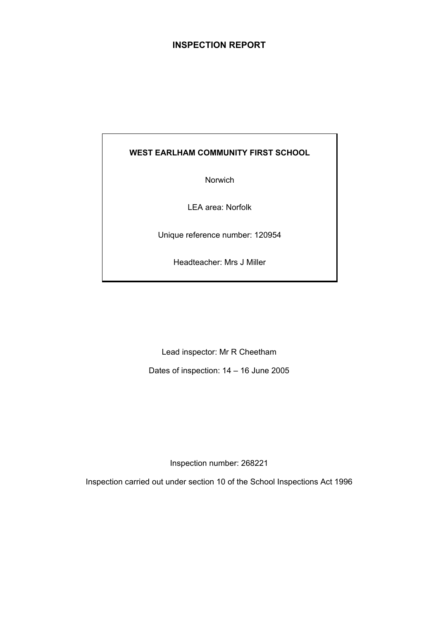## **INSPECTION REPORT**

## **WEST EARLHAM COMMUNITY FIRST SCHOOL**

Norwich

LEA area: Norfolk

Unique reference number: 120954

Headteacher: Mrs J Miller

Lead inspector: Mr R Cheetham

Dates of inspection: 14 – 16 June 2005

Inspection number: 268221

Inspection carried out under section 10 of the School Inspections Act 1996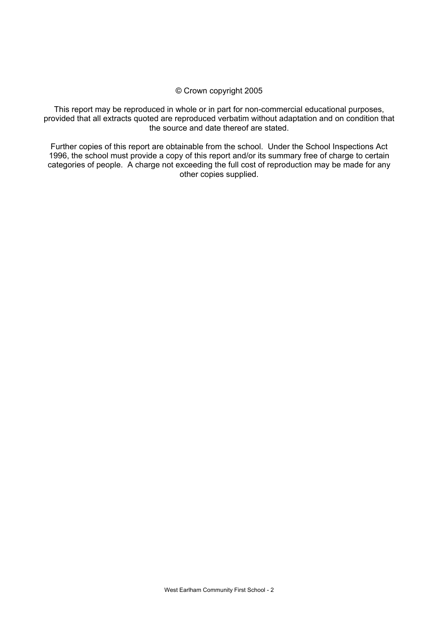#### © Crown copyright 2005

This report may be reproduced in whole or in part for non-commercial educational purposes, provided that all extracts quoted are reproduced verbatim without adaptation and on condition that the source and date thereof are stated.

Further copies of this report are obtainable from the school. Under the School Inspections Act 1996, the school must provide a copy of this report and/or its summary free of charge to certain categories of people. A charge not exceeding the full cost of reproduction may be made for any other copies supplied.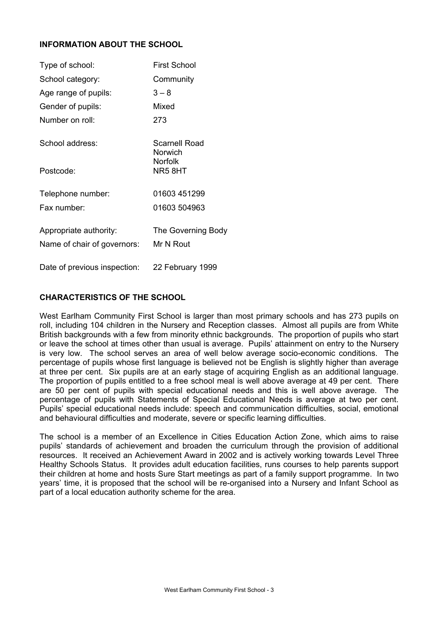### **INFORMATION ABOUT THE SCHOOL**

| Type of school:                                       | <b>First School</b>             |
|-------------------------------------------------------|---------------------------------|
| School category:                                      | Community                       |
| Age range of pupils:                                  | $3 - 8$                         |
| Gender of pupils:                                     | Mixed                           |
| Number on roll:                                       | 273                             |
| School address:                                       | <b>Scarnell Road</b><br>Norwich |
| Postcode:                                             | <b>Norfolk</b><br>NR58HT        |
| Telephone number:                                     | 01603 451299                    |
| Fax number:                                           | 01603 504963                    |
| Appropriate authority:<br>Name of chair of governors: | The Governing Body<br>Mr N Rout |
|                                                       |                                 |
| Date of previous inspection:                          | 22 February 1999                |

#### **CHARACTERISTICS OF THE SCHOOL**

West Earlham Community First School is larger than most primary schools and has 273 pupils on roll, including 104 children in the Nursery and Reception classes. Almost all pupils are from White British backgrounds with a few from minority ethnic backgrounds. The proportion of pupils who start or leave the school at times other than usual is average. Pupils' attainment on entry to the Nursery is very low. The school serves an area of well below average socio-economic conditions. The percentage of pupils whose first language is believed not be English is slightly higher than average at three per cent. Six pupils are at an early stage of acquiring English as an additional language. The proportion of pupils entitled to a free school meal is well above average at 49 per cent. There are 50 per cent of pupils with special educational needs and this is well above average. The percentage of pupils with Statements of Special Educational Needs is average at two per cent. Pupils' special educational needs include: speech and communication difficulties, social, emotional and behavioural difficulties and moderate, severe or specific learning difficulties.

The school is a member of an Excellence in Cities Education Action Zone, which aims to raise pupils' standards of achievement and broaden the curriculum through the provision of additional resources. It received an Achievement Award in 2002 and is actively working towards Level Three Healthy Schools Status. It provides adult education facilities, runs courses to help parents support their children at home and hosts Sure Start meetings as part of a family support programme. In two years' time, it is proposed that the school will be re-organised into a Nursery and Infant School as part of a local education authority scheme for the area.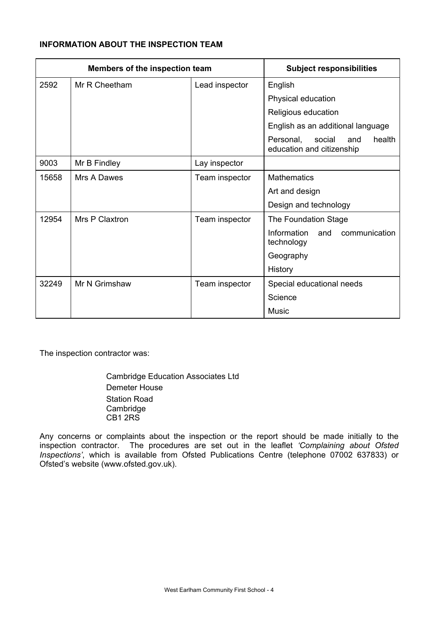## **INFORMATION ABOUT THE INSPECTION TEAM**

| Members of the inspection team |                | <b>Subject responsibilities</b> |                                                                   |
|--------------------------------|----------------|---------------------------------|-------------------------------------------------------------------|
| 2592                           | Mr R Cheetham  | Lead inspector                  | English                                                           |
|                                |                |                                 | Physical education                                                |
|                                |                |                                 | Religious education                                               |
|                                |                |                                 | English as an additional language                                 |
|                                |                |                                 | social<br>health<br>Personal,<br>and<br>education and citizenship |
| 9003                           | Mr B Findley   | Lay inspector                   |                                                                   |
| 15658                          | Mrs A Dawes    | Team inspector                  | <b>Mathematics</b>                                                |
|                                |                |                                 | Art and design                                                    |
|                                |                |                                 | Design and technology                                             |
| 12954                          | Mrs P Claxtron | Team inspector                  | The Foundation Stage                                              |
|                                |                |                                 | Information<br>communication<br>and<br>technology                 |
|                                |                |                                 | Geography                                                         |
|                                |                |                                 | History                                                           |
| 32249                          | Mr N Grimshaw  | Team inspector                  | Special educational needs                                         |
|                                |                |                                 | Science                                                           |
|                                |                |                                 | Music                                                             |

The inspection contractor was:

 Cambridge Education Associates Ltd Demeter House Station Road **Cambridge** CB1 2RS

Any concerns or complaints about the inspection or the report should be made initially to the inspection contractor. The procedures are set out in the leaflet *'Complaining about Ofsted Inspections'*, which is available from Ofsted Publications Centre (telephone 07002 637833) or Ofsted's website (www.ofsted.gov.uk).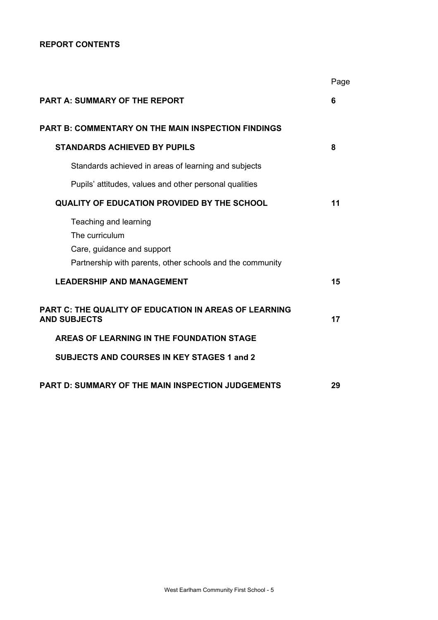## **REPORT CONTENTS**

|                                                                                                                                    | Page |
|------------------------------------------------------------------------------------------------------------------------------------|------|
| <b>PART A: SUMMARY OF THE REPORT</b>                                                                                               | 6    |
| <b>PART B: COMMENTARY ON THE MAIN INSPECTION FINDINGS</b>                                                                          |      |
| <b>STANDARDS ACHIEVED BY PUPILS</b>                                                                                                | 8    |
| Standards achieved in areas of learning and subjects                                                                               |      |
| Pupils' attitudes, values and other personal qualities                                                                             |      |
| QUALITY OF EDUCATION PROVIDED BY THE SCHOOL                                                                                        | 11   |
| Teaching and learning<br>The curriculum<br>Care, guidance and support<br>Partnership with parents, other schools and the community |      |
| <b>LEADERSHIP AND MANAGEMENT</b>                                                                                                   | 15   |
| <b>PART C: THE QUALITY OF EDUCATION IN AREAS OF LEARNING</b><br><b>AND SUBJECTS</b>                                                | 17   |
| AREAS OF LEARNING IN THE FOUNDATION STAGE                                                                                          |      |
| <b>SUBJECTS AND COURSES IN KEY STAGES 1 and 2</b>                                                                                  |      |
| <b>PART D: SUMMARY OF THE MAIN INSPECTION JUDGEMENTS</b>                                                                           | 29   |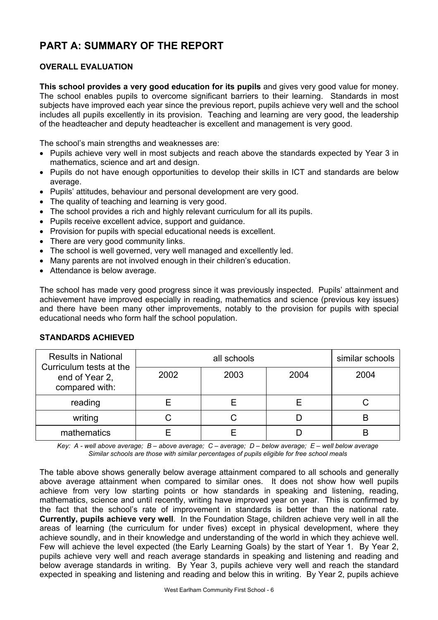# **PART A: SUMMARY OF THE REPORT**

## **OVERALL EVALUATION**

**This school provides a very good education for its pupils** and gives very good value for money. The school enables pupils to overcome significant barriers to their learning. Standards in most subjects have improved each year since the previous report, pupils achieve very well and the school includes all pupils excellently in its provision. Teaching and learning are very good, the leadership of the headteacher and deputy headteacher is excellent and management is very good.

The school's main strengths and weaknesses are:

- Pupils achieve very well in most subjects and reach above the standards expected by Year 3 in mathematics, science and art and design.
- Pupils do not have enough opportunities to develop their skills in ICT and standards are below average.
- Pupils' attitudes, behaviour and personal development are very good.
- The quality of teaching and learning is very good.
- The school provides a rich and highly relevant curriculum for all its pupils.
- Pupils receive excellent advice, support and guidance.
- Provision for pupils with special educational needs is excellent.
- There are very good community links.
- The school is well governed, very well managed and excellently led.
- Many parents are not involved enough in their children's education.
- Attendance is below average.

The school has made very good progress since it was previously inspected. Pupils' attainment and achievement have improved especially in reading, mathematics and science (previous key issues) and there have been many other improvements, notably to the provision for pupils with special educational needs who form half the school population.

| <b>Results in National</b><br>Curriculum tests at the |      | similar schools |      |      |
|-------------------------------------------------------|------|-----------------|------|------|
| end of Year 2,<br>compared with:                      | 2002 | 2003            | 2004 | 2004 |
| reading                                               |      |                 |      |      |
| writing                                               |      |                 |      |      |
| mathematics                                           |      |                 |      | B    |

#### **STANDARDS ACHIEVED**

*Key: A - well above average; B – above average; C – average; D – below average; E – well below average Similar schools are those with similar percentages of pupils eligible for free school meals* 

The table above shows generally below average attainment compared to all schools and generally above average attainment when compared to similar ones. It does not show how well pupils achieve from very low starting points or how standards in speaking and listening, reading, mathematics, science and until recently, writing have improved year on year. This is confirmed by the fact that the school's rate of improvement in standards is better than the national rate. **Currently, pupils achieve very well**. In the Foundation Stage, children achieve very well in all the areas of learning (the curriculum for under fives) except in physical development, where they achieve soundly, and in their knowledge and understanding of the world in which they achieve well. Few will achieve the level expected (the Early Learning Goals) by the start of Year 1. By Year 2, pupils achieve very well and reach average standards in speaking and listening and reading and below average standards in writing. By Year 3, pupils achieve very well and reach the standard expected in speaking and listening and reading and below this in writing. By Year 2, pupils achieve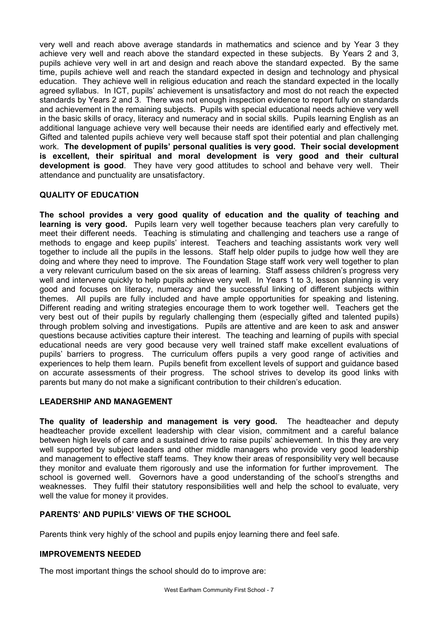very well and reach above average standards in mathematics and science and by Year 3 they achieve very well and reach above the standard expected in these subjects. By Years 2 and 3, pupils achieve very well in art and design and reach above the standard expected. By the same time, pupils achieve well and reach the standard expected in design and technology and physical education. They achieve well in religious education and reach the standard expected in the locally agreed syllabus. In ICT, pupils' achievement is unsatisfactory and most do not reach the expected standards by Years 2 and 3. There was not enough inspection evidence to report fully on standards and achievement in the remaining subjects. Pupils with special educational needs achieve very well in the basic skills of oracy, literacy and numeracy and in social skills. Pupils learning English as an additional language achieve very well because their needs are identified early and effectively met. Gifted and talented pupils achieve very well because staff spot their potential and plan challenging work. **The development of pupils' personal qualities is very good. Their social development is excellent, their spiritual and moral development is very good and their cultural development is good**. They have very good attitudes to school and behave very well. Their attendance and punctuality are unsatisfactory.

## **QUALITY OF EDUCATION**

**The school provides a very good quality of education and the quality of teaching and learning is very good.** Pupils learn very well together because teachers plan very carefully to meet their different needs. Teaching is stimulating and challenging and teachers use a range of methods to engage and keep pupils' interest. Teachers and teaching assistants work very well together to include all the pupils in the lessons. Staff help older pupils to judge how well they are doing and where they need to improve. The Foundation Stage staff work very well together to plan a very relevant curriculum based on the six areas of learning. Staff assess children's progress very well and intervene quickly to help pupils achieve very well. In Years 1 to 3, lesson planning is very good and focuses on literacy, numeracy and the successful linking of different subjects within themes. All pupils are fully included and have ample opportunities for speaking and listening. Different reading and writing strategies encourage them to work together well. Teachers get the very best out of their pupils by regularly challenging them (especially gifted and talented pupils) through problem solving and investigations. Pupils are attentive and are keen to ask and answer questions because activities capture their interest. The teaching and learning of pupils with special educational needs are very good because very well trained staff make excellent evaluations of pupils' barriers to progress. The curriculum offers pupils a very good range of activities and experiences to help them learn. Pupils benefit from excellent levels of support and guidance based on accurate assessments of their progress. The school strives to develop its good links with parents but many do not make a significant contribution to their children's education.

#### **LEADERSHIP AND MANAGEMENT**

**The quality of leadership and management is very good.** The headteacher and deputy headteacher provide excellent leadership with clear vision, commitment and a careful balance between high levels of care and a sustained drive to raise pupils' achievement. In this they are very well supported by subject leaders and other middle managers who provide very good leadership and management to effective staff teams. They know their areas of responsibility very well because they monitor and evaluate them rigorously and use the information for further improvement. The school is governed well. Governors have a good understanding of the school's strengths and weaknesses. They fulfil their statutory responsibilities well and help the school to evaluate, very well the value for money it provides.

#### **PARENTS' AND PUPILS' VIEWS OF THE SCHOOL**

Parents think very highly of the school and pupils enjoy learning there and feel safe.

#### **IMPROVEMENTS NEEDED**

The most important things the school should do to improve are: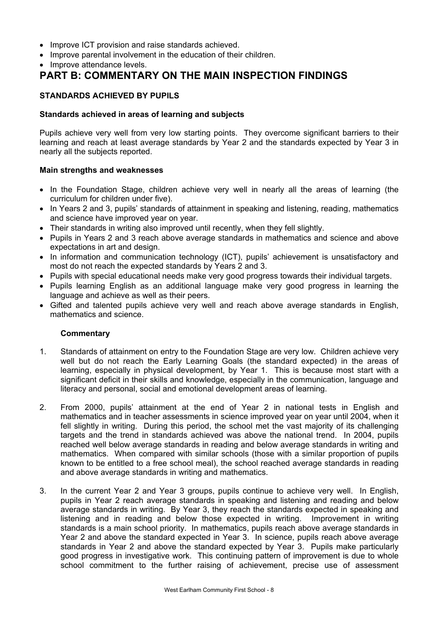- Improve ICT provision and raise standards achieved.
- Improve parental involvement in the education of their children.
- Improve attendance levels.

## **PART B: COMMENTARY ON THE MAIN INSPECTION FINDINGS**

#### **STANDARDS ACHIEVED BY PUPILS**

#### **Standards achieved in areas of learning and subjects**

Pupils achieve very well from very low starting points. They overcome significant barriers to their learning and reach at least average standards by Year 2 and the standards expected by Year 3 in nearly all the subjects reported.

#### **Main strengths and weaknesses**

- In the Foundation Stage, children achieve very well in nearly all the areas of learning (the curriculum for children under five).
- In Years 2 and 3, pupils' standards of attainment in speaking and listening, reading, mathematics and science have improved year on year.
- Their standards in writing also improved until recently, when they fell slightly.
- Pupils in Years 2 and 3 reach above average standards in mathematics and science and above expectations in art and design.
- In information and communication technology (ICT), pupils' achievement is unsatisfactory and most do not reach the expected standards by Years 2 and 3.
- Pupils with special educational needs make very good progress towards their individual targets.
- Pupils learning English as an additional language make very good progress in learning the language and achieve as well as their peers.
- Gifted and talented pupils achieve very well and reach above average standards in English, mathematics and science.

- 1. Standards of attainment on entry to the Foundation Stage are very low. Children achieve very well but do not reach the Early Learning Goals (the standard expected) in the areas of learning, especially in physical development, by Year 1. This is because most start with a significant deficit in their skills and knowledge, especially in the communication, language and literacy and personal, social and emotional development areas of learning.
- 2. From 2000, pupils' attainment at the end of Year 2 in national tests in English and mathematics and in teacher assessments in science improved year on year until 2004, when it fell slightly in writing. During this period, the school met the vast majority of its challenging targets and the trend in standards achieved was above the national trend. In 2004, pupils reached well below average standards in reading and below average standards in writing and mathematics. When compared with similar schools (those with a similar proportion of pupils known to be entitled to a free school meal), the school reached average standards in reading and above average standards in writing and mathematics.
- 3. In the current Year 2 and Year 3 groups, pupils continue to achieve very well. In English, pupils in Year 2 reach average standards in speaking and listening and reading and below average standards in writing. By Year 3, they reach the standards expected in speaking and listening and in reading and below those expected in writing. Improvement in writing standards is a main school priority. In mathematics, pupils reach above average standards in Year 2 and above the standard expected in Year 3. In science, pupils reach above average standards in Year 2 and above the standard expected by Year 3. Pupils make particularly good progress in investigative work. This continuing pattern of improvement is due to whole school commitment to the further raising of achievement, precise use of assessment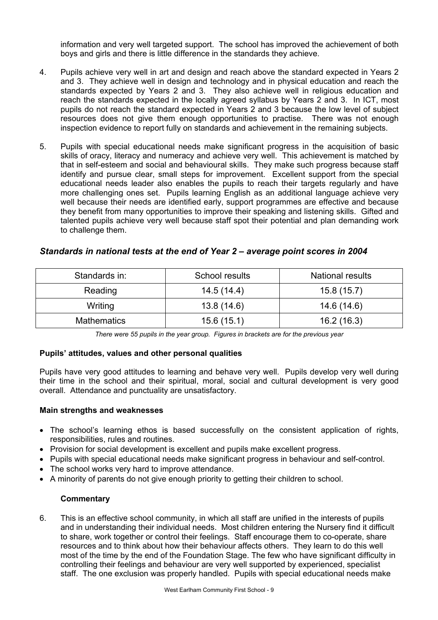information and very well targeted support. The school has improved the achievement of both boys and girls and there is little difference in the standards they achieve.

- 4. Pupils achieve very well in art and design and reach above the standard expected in Years 2 and 3. They achieve well in design and technology and in physical education and reach the standards expected by Years 2 and 3. They also achieve well in religious education and reach the standards expected in the locally agreed syllabus by Years 2 and 3. In ICT, most pupils do not reach the standard expected in Years 2 and 3 because the low level of subject resources does not give them enough opportunities to practise. There was not enough inspection evidence to report fully on standards and achievement in the remaining subjects.
- 5. Pupils with special educational needs make significant progress in the acquisition of basic skills of oracy, literacy and numeracy and achieve very well. This achievement is matched by that in self-esteem and social and behavioural skills. They make such progress because staff identify and pursue clear, small steps for improvement. Excellent support from the special educational needs leader also enables the pupils to reach their targets regularly and have more challenging ones set. Pupils learning English as an additional language achieve very well because their needs are identified early, support programmes are effective and because they benefit from many opportunities to improve their speaking and listening skills. Gifted and talented pupils achieve very well because staff spot their potential and plan demanding work to challenge them.

| Standards in:      | School results | <b>National results</b> |  |
|--------------------|----------------|-------------------------|--|
| Reading            | 14.5(14.4)     | 15.8(15.7)              |  |
| Writing            | 13.8(14.6)     | 14.6 (14.6)             |  |
| <b>Mathematics</b> | 15.6(15.1)     | 16.2(16.3)              |  |

#### *Standards in national tests at the end of Year 2 – average point scores in 2004*

*There were 55 pupils in the year group. Figures in brackets are for the previous year* 

#### **Pupils' attitudes, values and other personal qualities**

Pupils have very good attitudes to learning and behave very well. Pupils develop very well during their time in the school and their spiritual, moral, social and cultural development is very good overall. Attendance and punctuality are unsatisfactory.

#### **Main strengths and weaknesses**

- The school's learning ethos is based successfully on the consistent application of rights, responsibilities, rules and routines.
- Provision for social development is excellent and pupils make excellent progress.
- Pupils with special educational needs make significant progress in behaviour and self-control.
- The school works very hard to improve attendance.
- A minority of parents do not give enough priority to getting their children to school.

#### **Commentary**

6. This is an effective school community, in which all staff are unified in the interests of pupils and in understanding their individual needs. Most children entering the Nursery find it difficult to share, work together or control their feelings. Staff encourage them to co-operate, share resources and to think about how their behaviour affects others. They learn to do this well most of the time by the end of the Foundation Stage. The few who have significant difficulty in controlling their feelings and behaviour are very well supported by experienced, specialist staff. The one exclusion was properly handled. Pupils with special educational needs make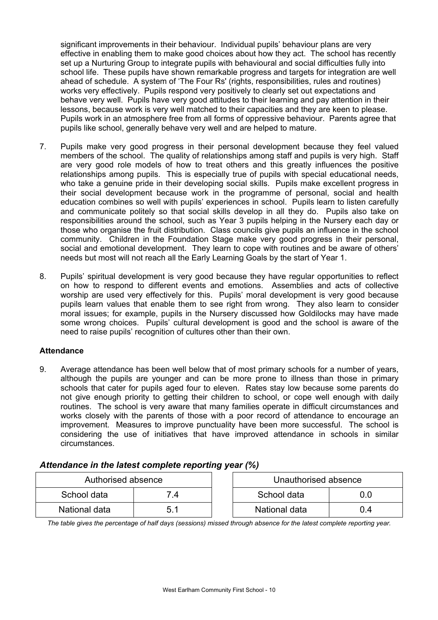significant improvements in their behaviour. Individual pupils' behaviour plans are very effective in enabling them to make good choices about how they act. The school has recently set up a Nurturing Group to integrate pupils with behavioural and social difficulties fully into school life. These pupils have shown remarkable progress and targets for integration are well ahead of schedule. A system of 'The Four Rs' (rights, responsibilities, rules and routines) works very effectively. Pupils respond very positively to clearly set out expectations and behave very well. Pupils have very good attitudes to their learning and pay attention in their lessons, because work is very well matched to their capacities and they are keen to please. Pupils work in an atmosphere free from all forms of oppressive behaviour. Parents agree that pupils like school, generally behave very well and are helped to mature.

- 7. Pupils make very good progress in their personal development because they feel valued members of the school. The quality of relationships among staff and pupils is very high. Staff are very good role models of how to treat others and this greatly influences the positive relationships among pupils. This is especially true of pupils with special educational needs, who take a genuine pride in their developing social skills. Pupils make excellent progress in their social development because work in the programme of personal, social and health education combines so well with pupils' experiences in school. Pupils learn to listen carefully and communicate politely so that social skills develop in all they do. Pupils also take on responsibilities around the school, such as Year 3 pupils helping in the Nursery each day or those who organise the fruit distribution. Class councils give pupils an influence in the school community. Children in the Foundation Stage make very good progress in their personal, social and emotional development. They learn to cope with routines and be aware of others' needs but most will not reach all the Early Learning Goals by the start of Year 1.
- 8. Pupils' spiritual development is very good because they have regular opportunities to reflect on how to respond to different events and emotions. Assemblies and acts of collective worship are used very effectively for this. Pupils' moral development is very good because pupils learn values that enable them to see right from wrong. They also learn to consider moral issues; for example, pupils in the Nursery discussed how Goldilocks may have made some wrong choices. Pupils' cultural development is good and the school is aware of the need to raise pupils' recognition of cultures other than their own.

#### **Attendance**

9. Average attendance has been well below that of most primary schools for a number of years, although the pupils are younger and can be more prone to illness than those in primary schools that cater for pupils aged four to eleven. Rates stay low because some parents do not give enough priority to getting their children to school, or cope well enough with daily routines. The school is very aware that many families operate in difficult circumstances and works closely with the parents of those with a poor record of attendance to encourage an improvement. Measures to improve punctuality have been more successful. The school is considering the use of initiatives that have improved attendance in schools in similar circumstances.

| Authorised absence |     | Unauthorised absence |     |
|--------------------|-----|----------------------|-----|
| School data        | 4   | School data          | 0.0 |
| National data      | 5.1 | National data        | 0.4 |

## *Attendance in the latest complete reporting year (%)*

*The table gives the percentage of half days (sessions) missed through absence for the latest complete reporting year.*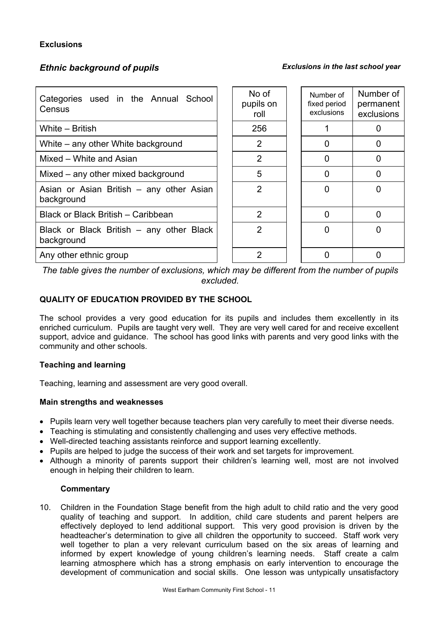## **Exclusions**

## *Ethnic background of pupils Exclusions in the last school year*

| Categories used in the Annual School<br>Census         |  | No of<br>pupils on<br>roll | Number of<br>fixed period<br>exclusions | Number of<br>permanent<br>exclusions |
|--------------------------------------------------------|--|----------------------------|-----------------------------------------|--------------------------------------|
| White - British                                        |  | 256                        |                                         | 0                                    |
| White – any other White background                     |  | 2                          | <sup>0</sup>                            | 0                                    |
| Mixed - White and Asian                                |  | $\overline{2}$             | $\Omega$                                |                                      |
| Mixed – any other mixed background                     |  | 5                          | $\Omega$                                |                                      |
| Asian or Asian British – any other Asian<br>background |  | $\overline{2}$             | 0                                       |                                      |
| Black or Black British - Caribbean                     |  | 2                          | $\Omega$                                | 0                                    |
| Black or Black British – any other Black<br>background |  | $\overline{2}$             | $\Omega$                                | O                                    |
| Any other ethnic group                                 |  | 2                          | 0                                       |                                      |

*The table gives the number of exclusions, which may be different from the number of pupils excluded.*

## **QUALITY OF EDUCATION PROVIDED BY THE SCHOOL**

The school provides a very good education for its pupils and includes them excellently in its enriched curriculum. Pupils are taught very well. They are very well cared for and receive excellent support, advice and guidance. The school has good links with parents and very good links with the community and other schools.

#### **Teaching and learning**

Teaching, learning and assessment are very good overall.

#### **Main strengths and weaknesses**

- Pupils learn very well together because teachers plan very carefully to meet their diverse needs.
- Teaching is stimulating and consistently challenging and uses very effective methods.
- Well-directed teaching assistants reinforce and support learning excellently.
- Pupils are helped to judge the success of their work and set targets for improvement.
- Although a minority of parents support their children's learning well, most are not involved enough in helping their children to learn.

#### **Commentary**

10. Children in the Foundation Stage benefit from the high adult to child ratio and the very good quality of teaching and support. In addition, child care students and parent helpers are effectively deployed to lend additional support. This very good provision is driven by the headteacher's determination to give all children the opportunity to succeed. Staff work very well together to plan a very relevant curriculum based on the six areas of learning and informed by expert knowledge of young children's learning needs. Staff create a calm learning atmosphere which has a strong emphasis on early intervention to encourage the development of communication and social skills. One lesson was untypically unsatisfactory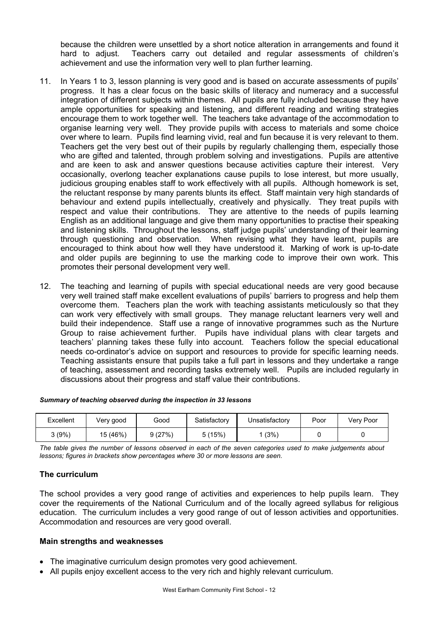because the children were unsettled by a short notice alteration in arrangements and found it hard to adjust. Teachers carry out detailed and regular assessments of children's achievement and use the information very well to plan further learning.

- 11. In Years 1 to 3, lesson planning is very good and is based on accurate assessments of pupils' progress. It has a clear focus on the basic skills of literacy and numeracy and a successful integration of different subjects within themes. All pupils are fully included because they have ample opportunities for speaking and listening, and different reading and writing strategies encourage them to work together well. The teachers take advantage of the accommodation to organise learning very well. They provide pupils with access to materials and some choice over where to learn. Pupils find learning vivid, real and fun because it is very relevant to them. Teachers get the very best out of their pupils by regularly challenging them, especially those who are gifted and talented, through problem solving and investigations. Pupils are attentive and are keen to ask and answer questions because activities capture their interest. Very occasionally, overlong teacher explanations cause pupils to lose interest, but more usually, judicious grouping enables staff to work effectively with all pupils. Although homework is set, the reluctant response by many parents blunts its effect. Staff maintain very high standards of behaviour and extend pupils intellectually, creatively and physically. They treat pupils with respect and value their contributions. They are attentive to the needs of pupils learning English as an additional language and give them many opportunities to practise their speaking and listening skills. Throughout the lessons, staff judge pupils' understanding of their learning through questioning and observation. When revising what they have learnt, pupils are encouraged to think about how well they have understood it. Marking of work is up-to-date and older pupils are beginning to use the marking code to improve their own work. This promotes their personal development very well.
- 12. The teaching and learning of pupils with special educational needs are very good because very well trained staff make excellent evaluations of pupils' barriers to progress and help them overcome them. Teachers plan the work with teaching assistants meticulously so that they can work very effectively with small groups. They manage reluctant learners very well and build their independence. Staff use a range of innovative programmes such as the Nurture Group to raise achievement further. Pupils have individual plans with clear targets and teachers' planning takes these fully into account. Teachers follow the special educational needs co-ordinator's advice on support and resources to provide for specific learning needs. Teaching assistants ensure that pupils take a full part in lessons and they undertake a range of teaching, assessment and recording tasks extremely well. Pupils are included regularly in discussions about their progress and staff value their contributions.

| Excellent | Very good | Good   | Satisfactory | Unsatisfactory | Poor | Very Poor |
|-----------|-----------|--------|--------------|----------------|------|-----------|
| (9%)      | 15 (46%)  | 9(27%) | 5(15%)       | (3%)           |      |           |

#### *Summary of teaching observed during the inspection in 33 lessons*

*The table gives the number of lessons observed in each of the seven categories used to make judgements about lessons; figures in brackets show percentages where 30 or more lessons are seen.* 

#### **The curriculum**

The school provides a very good range of activities and experiences to help pupils learn. They cover the requirements of the National Curriculum and of the locally agreed syllabus for religious education. The curriculum includes a very good range of out of lesson activities and opportunities. Accommodation and resources are very good overall.

#### **Main strengths and weaknesses**

- The imaginative curriculum design promotes very good achievement.
- All pupils enjoy excellent access to the very rich and highly relevant curriculum.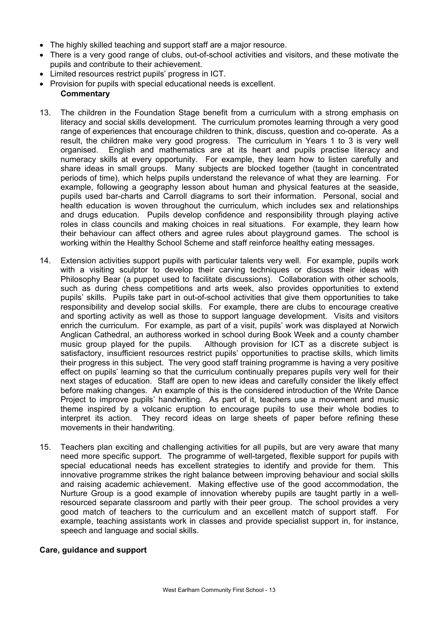- The highly skilled teaching and support staff are a major resource.
- There is a very good range of clubs, out-of-school activities and visitors, and these motivate the pupils and contribute to their achievement.
- Limited resources restrict pupils' progress in ICT.
- Provision for pupils with special educational needs is excellent.

#### **Commentary**

- 13. The children in the Foundation Stage benefit from a curriculum with a strong emphasis on literacy and social skills development. The curriculum promotes learning through a very good range of experiences that encourage children to think, discuss, question and co-operate. As a result, the children make very good progress. The curriculum in Years 1 to 3 is very well organised. English and mathematics are at its heart and pupils practise literacy and numeracy skills at every opportunity. For example, they learn how to listen carefully and share ideas in small groups. Many subjects are blocked together (taught in concentrated periods of time), which helps pupils understand the relevance of what they are learning. For example, following a geography lesson about human and physical features at the seaside, pupils used bar-charts and Carroll diagrams to sort their information. Personal, social and health education is woven throughout the curriculum, which includes sex and relationships and drugs education. Pupils develop confidence and responsibility through playing active roles in class councils and making choices in real situations. For example, they learn how their behaviour can affect others and agree rules about playground games. The school is working within the Healthy School Scheme and staff reinforce healthy eating messages.
- 14. Extension activities support pupils with particular talents very well. For example, pupils work with a visiting sculptor to develop their carving techniques or discuss their ideas with Philosophy Bear (a puppet used to facilitate discussions). Collaboration with other schools, such as during chess competitions and arts week, also provides opportunities to extend pupils' skills. Pupils take part in out-of-school activities that give them opportunities to take responsibility and develop social skills. For example, there are clubs to encourage creative and sporting activity as well as those to support language development.Visits and visitors enrich the curriculum. For example, as part of a visit, pupils' work was displayed at Norwich Anglican Cathedral, an authoress worked in school during Book Week and a county chamber music group played for the pupils. Although provision for ICT as a discrete subject is satisfactory, insufficient resources restrict pupils' opportunities to practise skills, which limits their progress in this subject. The very good staff training programme is having a very positive effect on pupils' learning so that the curriculum continually prepares pupils very well for their next stages of education. Staff are open to new ideas and carefully consider the likely effect before making changes. An example of this is the considered introduction of the Write Dance Project to improve pupils' handwriting. As part of it, teachers use a movement and music theme inspired by a volcanic eruption to encourage pupils to use their whole bodies to interpret its action. They record ideas on large sheets of paper before refining these movements in their handwriting.
- 15. Teachers plan exciting and challenging activities for all pupils, but are very aware that many need more specific support. The programme of well-targeted, flexible support for pupils with special educational needs has excellent strategies to identify and provide for them. This innovative programme strikes the right balance between improving behaviour and social skills and raising academic achievement. Making effective use of the good accommodation, the Nurture Group is a good example of innovation whereby pupils are taught partly in a wellresourced separate classroom and partly with their peer group. The school provides a very good match of teachers to the curriculum and an excellent match of support staff. For example, teaching assistants work in classes and provide specialist support in, for instance, speech and language and social skills.

#### **Care, guidance and support**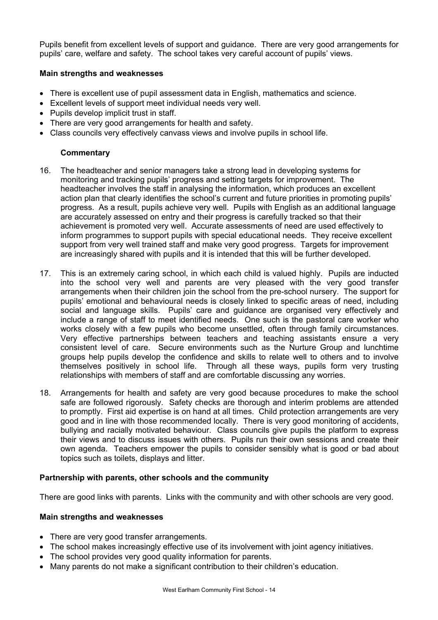Pupils benefit from excellent levels of support and guidance. There are very good arrangements for pupils' care, welfare and safety. The school takes very careful account of pupils' views.

#### **Main strengths and weaknesses**

- There is excellent use of pupil assessment data in English, mathematics and science.
- Excellent levels of support meet individual needs very well.
- Pupils develop implicit trust in staff.
- There are very good arrangements for health and safety.
- Class councils very effectively canvass views and involve pupils in school life.

## **Commentary**

- 16. The headteacher and senior managers take a strong lead in developing systems for monitoring and tracking pupils' progress and setting targets for improvement. The headteacher involves the staff in analysing the information, which produces an excellent action plan that clearly identifies the school's current and future priorities in promoting pupils' progress. As a result, pupils achieve very well. Pupils with English as an additional language are accurately assessed on entry and their progress is carefully tracked so that their achievement is promoted very well. Accurate assessments of need are used effectively to inform programmes to support pupils with special educational needs. They receive excellent support from very well trained staff and make very good progress. Targets for improvement are increasingly shared with pupils and it is intended that this will be further developed.
- 17. This is an extremely caring school, in which each child is valued highly. Pupils are inducted into the school very well and parents are very pleased with the very good transfer arrangements when their children join the school from the pre-school nursery. The support for pupils' emotional and behavioural needs is closely linked to specific areas of need, including social and language skills. Pupils' care and guidance are organised very effectively and include a range of staff to meet identified needs. One such is the pastoral care worker who works closely with a few pupils who become unsettled, often through family circumstances. Very effective partnerships between teachers and teaching assistants ensure a very consistent level of care. Secure environments such as the Nurture Group and lunchtime groups help pupils develop the confidence and skills to relate well to others and to involve themselves positively in school life. Through all these ways, pupils form very trusting relationships with members of staff and are comfortable discussing any worries.
- 18. Arrangements for health and safety are very good because procedures to make the school safe are followed rigorously. Safety checks are thorough and interim problems are attended to promptly. First aid expertise is on hand at all times. Child protection arrangements are very good and in line with those recommended locally. There is very good monitoring of accidents, bullying and racially motivated behaviour. Class councils give pupils the platform to express their views and to discuss issues with others. Pupils run their own sessions and create their own agenda. Teachers empower the pupils to consider sensibly what is good or bad about topics such as toilets, displays and litter.

#### **Partnership with parents, other schools and the community**

There are good links with parents. Links with the community and with other schools are very good.

#### **Main strengths and weaknesses**

- There are very good transfer arrangements.
- The school makes increasingly effective use of its involvement with joint agency initiatives.
- The school provides very good quality information for parents.
- Many parents do not make a significant contribution to their children's education.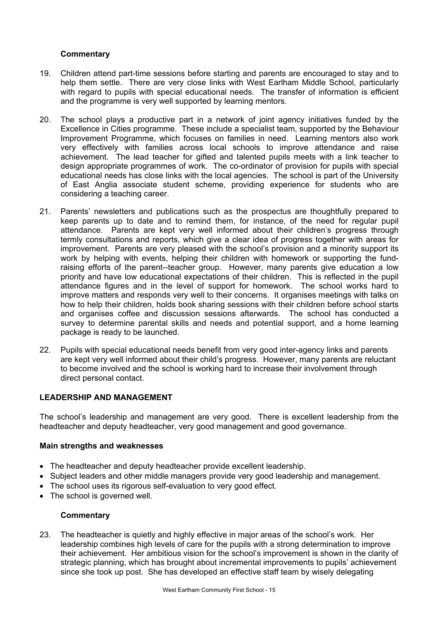#### **Commentary**

- 19. Children attend part-time sessions before starting and parents are encouraged to stay and to help them settle. There are very close links with West Earlham Middle School, particularly with regard to pupils with special educational needs. The transfer of information is efficient and the programme is very well supported by learning mentors.
- 20. The school plays a productive part in a network of joint agency initiatives funded by the Excellence in Cities programme. These include a specialist team, supported by the Behaviour Improvement Programme, which focuses on families in need. Learning mentors also work very effectively with families across local schools to improve attendance and raise achievement. The lead teacher for gifted and talented pupils meets with a link teacher to design appropriate programmes of work. The co-ordinator of provision for pupils with special educational needs has close links with the local agencies. The school is part of the University of East Anglia associate student scheme, providing experience for students who are considering a teaching career.
- 21. Parents' newsletters and publications such as the prospectus are thoughtfully prepared to keep parents up to date and to remind them, for instance, of the need for regular pupil attendance. Parents are kept very well informed about their children's progress through termly consultations and reports, which give a clear idea of progress together with areas for improvement. Parents are very pleased with the school's provision and a minority support its work by helping with events, helping their children with homework or supporting the fundraising efforts of the parent--teacher group. However, many parents give education a low priority and have low educational expectations of their children. This is reflected in the pupil attendance figures and in the level of support for homework. The school works hard to improve matters and responds very well to their concerns. It organises meetings with talks on how to help their children, holds book sharing sessions with their children before school starts and organises coffee and discussion sessions afterwards. The school has conducted a survey to determine parental skills and needs and potential support, and a home learning package is ready to be launched.
- 22. Pupils with special educational needs benefit from very good inter-agency links and parents are kept very well informed about their child's progress. However, many parents are reluctant to become involved and the school is working hard to increase their involvement through direct personal contact.

#### **LEADERSHIP AND MANAGEMENT**

The school's leadership and management are very good. There is excellent leadership from the headteacher and deputy headteacher, very good management and good governance.

#### **Main strengths and weaknesses**

- The headteacher and deputy headteacher provide excellent leadership.
- Subject leaders and other middle managers provide very good leadership and management.
- The school uses its rigorous self-evaluation to very good effect.
- The school is governed well.

#### **Commentary**

23. The headteacher is quietly and highly effective in major areas of the school's work. Her leadership combines high levels of care for the pupils with a strong determination to improve their achievement. Her ambitious vision for the school's improvement is shown in the clarity of strategic planning, which has brought about incremental improvements to pupils' achievement since she took up post. She has developed an effective staff team by wisely delegating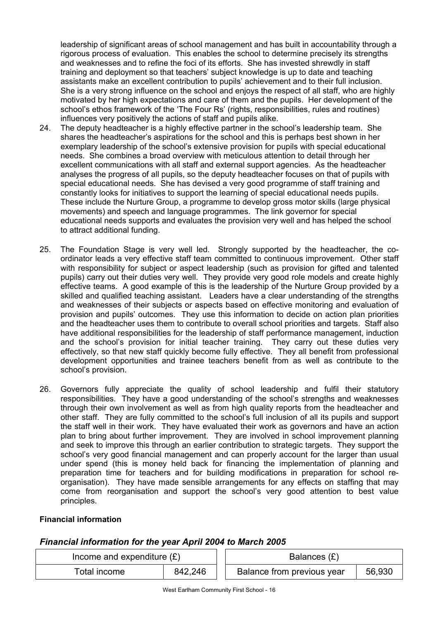leadership of significant areas of school management and has built in accountability through a rigorous process of evaluation. This enables the school to determine precisely its strengths and weaknesses and to refine the foci of its efforts. She has invested shrewdly in staff training and deployment so that teachers' subject knowledge is up to date and teaching assistants make an excellent contribution to pupils' achievement and to their full inclusion. She is a very strong influence on the school and enjoys the respect of all staff, who are highly motivated by her high expectations and care of them and the pupils. Her development of the school's ethos framework of the 'The Four Rs' (rights, responsibilities, rules and routines) influences very positively the actions of staff and pupils alike.

- 24. The deputy headteacher is a highly effective partner in the school's leadership team. She shares the headteacher's aspirations for the school and this is perhaps best shown in her exemplary leadership of the school's extensive provision for pupils with special educational needs. She combines a broad overview with meticulous attention to detail through her excellent communications with all staff and external support agencies. As the headteacher analyses the progress of all pupils, so the deputy headteacher focuses on that of pupils with special educational needs. She has devised a very good programme of staff training and constantly looks for initiatives to support the learning of special educational needs pupils. These include the Nurture Group, a programme to develop gross motor skills (large physical movements) and speech and language programmes. The link governor for special educational needs supports and evaluates the provision very well and has helped the school to attract additional funding.
- 25. The Foundation Stage is very well led. Strongly supported by the headteacher, the coordinator leads a very effective staff team committed to continuous improvement. Other staff with responsibility for subject or aspect leadership (such as provision for gifted and talented pupils) carry out their duties very well. They provide very good role models and create highly effective teams. A good example of this is the leadership of the Nurture Group provided by a skilled and qualified teaching assistant. Leaders have a clear understanding of the strengths and weaknesses of their subjects or aspects based on effective monitoring and evaluation of provision and pupils' outcomes. They use this information to decide on action plan priorities and the headteacher uses them to contribute to overall school priorities and targets. Staff also have additional responsibilities for the leadership of staff performance management, induction and the school's provision for initial teacher training. They carry out these duties very effectively, so that new staff quickly become fully effective. They all benefit from professional development opportunities and trainee teachers benefit from as well as contribute to the school's provision.
- 26. Governors fully appreciate the quality of school leadership and fulfil their statutory responsibilities. They have a good understanding of the school's strengths and weaknesses through their own involvement as well as from high quality reports from the headteacher and other staff. They are fully committed to the school's full inclusion of all its pupils and support the staff well in their work. They have evaluated their work as governors and have an action plan to bring about further improvement. They are involved in school improvement planning and seek to improve this through an earlier contribution to strategic targets. They support the school's very good financial management and can properly account for the larger than usual under spend (this is money held back for financing the implementation of planning and preparation time for teachers and for building modifications in preparation for school reorganisation). They have made sensible arrangements for any effects on staffing that may come from reorganisation and support the school's very good attention to best value principles.

#### **Financial information**

#### *Financial information for the year April 2004 to March 2005*

| Income and expenditure $(E)$ |         | Balances (£)               |        |
|------------------------------|---------|----------------------------|--------|
| Total income                 | 842,246 | Balance from previous year | 56,930 |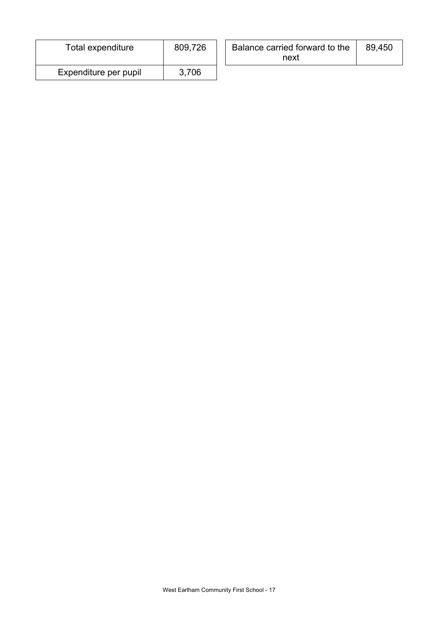| Total expenditure     | 809,726 | Balance carried forward to the<br>next | 89,450 |  |
|-----------------------|---------|----------------------------------------|--------|--|
| Expenditure per pupil | 3,706   |                                        |        |  |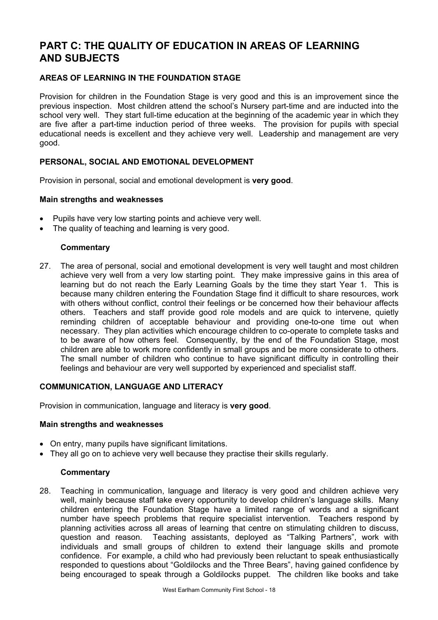# **PART C: THE QUALITY OF EDUCATION IN AREAS OF LEARNING AND SUBJECTS**

## **AREAS OF LEARNING IN THE FOUNDATION STAGE**

Provision for children in the Foundation Stage is very good and this is an improvement since the previous inspection. Most children attend the school's Nursery part-time and are inducted into the school very well. They start full-time education at the beginning of the academic year in which they are five after a part-time induction period of three weeks. The provision for pupils with special educational needs is excellent and they achieve very well. Leadership and management are very good.

#### **PERSONAL, SOCIAL AND EMOTIONAL DEVELOPMENT**

Provision in personal, social and emotional development is **very good**.

#### **Main strengths and weaknesses**

- Pupils have very low starting points and achieve very well.
- The quality of teaching and learning is very good.

#### **Commentary**

27. The area of personal, social and emotional development is very well taught and most children achieve very well from a very low starting point. They make impressive gains in this area of learning but do not reach the Early Learning Goals by the time they start Year 1. This is because many children entering the Foundation Stage find it difficult to share resources, work with others without conflict, control their feelings or be concerned how their behaviour affects others. Teachers and staff provide good role models and are quick to intervene, quietly reminding children of acceptable behaviour and providing one-to-one time out when necessary. They plan activities which encourage children to co-operate to complete tasks and to be aware of how others feel. Consequently, by the end of the Foundation Stage, most children are able to work more confidently in small groups and be more considerate to others. The small number of children who continue to have significant difficulty in controlling their feelings and behaviour are very well supported by experienced and specialist staff.

#### **COMMUNICATION, LANGUAGE AND LITERACY**

Provision in communication, language and literacy is **very good**.

#### **Main strengths and weaknesses**

- On entry, many pupils have significant limitations.
- They all go on to achieve very well because they practise their skills regularly.

#### **Commentary**

28. Teaching in communication, language and literacy is very good and children achieve very well, mainly because staff take every opportunity to develop children's language skills. Many children entering the Foundation Stage have a limited range of words and a significant number have speech problems that require specialist intervention. Teachers respond by planning activities across all areas of learning that centre on stimulating children to discuss, question and reason. Teaching assistants, deployed as "Talking Partners", work with individuals and small groups of children to extend their language skills and promote confidence. For example, a child who had previously been reluctant to speak enthusiastically responded to questions about "Goldilocks and the Three Bears", having gained confidence by being encouraged to speak through a Goldilocks puppet. The children like books and take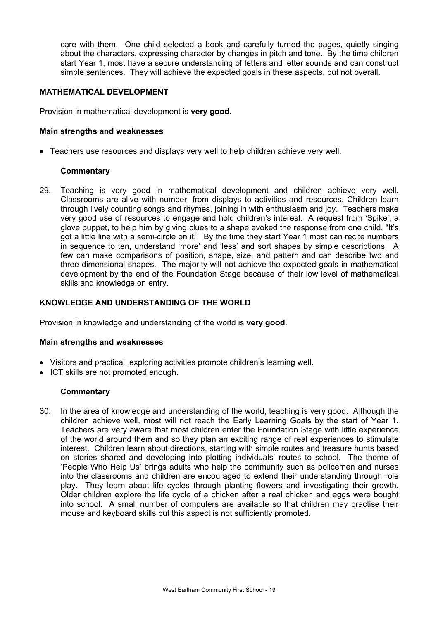care with them. One child selected a book and carefully turned the pages, quietly singing about the characters, expressing character by changes in pitch and tone. By the time children start Year 1, most have a secure understanding of letters and letter sounds and can construct simple sentences. They will achieve the expected goals in these aspects, but not overall.

#### **MATHEMATICAL DEVELOPMENT**

Provision in mathematical development is **very good**.

#### **Main strengths and weaknesses**

• Teachers use resources and displays very well to help children achieve very well.

#### **Commentary**

29. Teaching is very good in mathematical development and children achieve very well. Classrooms are alive with number, from displays to activities and resources. Children learn through lively counting songs and rhymes, joining in with enthusiasm and joy. Teachers make very good use of resources to engage and hold children's interest. A request from 'Spike', a glove puppet, to help him by giving clues to a shape evoked the response from one child, "It's got a little line with a semi-circle on it." By the time they start Year 1 most can recite numbers in sequence to ten, understand 'more' and 'less' and sort shapes by simple descriptions. A few can make comparisons of position, shape, size, and pattern and can describe two and three dimensional shapes. The majority will not achieve the expected goals in mathematical development by the end of the Foundation Stage because of their low level of mathematical skills and knowledge on entry.

#### **KNOWLEDGE AND UNDERSTANDING OF THE WORLD**

Provision in knowledge and understanding of the world is **very good**.

#### **Main strengths and weaknesses**

- Visitors and practical, exploring activities promote children's learning well.
- ICT skills are not promoted enough.

#### **Commentary**

30. In the area of knowledge and understanding of the world, teaching is very good. Although the children achieve well, most will not reach the Early Learning Goals by the start of Year 1. Teachers are very aware that most children enter the Foundation Stage with little experience of the world around them and so they plan an exciting range of real experiences to stimulate interest. Children learn about directions, starting with simple routes and treasure hunts based on stories shared and developing into plotting individuals' routes to school. The theme of 'People Who Help Us' brings adults who help the community such as policemen and nurses into the classrooms and children are encouraged to extend their understanding through role play. They learn about life cycles through planting flowers and investigating their growth. Older children explore the life cycle of a chicken after a real chicken and eggs were bought into school. A small number of computers are available so that children may practise their mouse and keyboard skills but this aspect is not sufficiently promoted.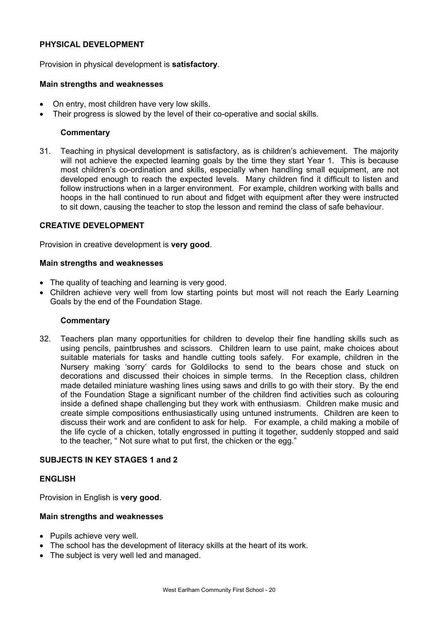#### **PHYSICAL DEVELOPMENT**

Provision in physical development is **satisfactory**.

#### **Main strengths and weaknesses**

- On entry, most children have very low skills.
- Their progress is slowed by the level of their co-operative and social skills.

#### **Commentary**

31. Teaching in physical development is satisfactory, as is children's achievement. The majority will not achieve the expected learning goals by the time they start Year 1. This is because most children's co-ordination and skills, especially when handling small equipment, are not developed enough to reach the expected levels. Many children find it difficult to listen and follow instructions when in a larger environment. For example, children working with balls and hoops in the hall continued to run about and fidget with equipment after they were instructed to sit down, causing the teacher to stop the lesson and remind the class of safe behaviour.

#### **CREATIVE DEVELOPMENT**

Provision in creative development is **very good**.

#### **Main strengths and weaknesses**

- The quality of teaching and learning is very good.
- Children achieve very well from low starting points but most will not reach the Early Learning Goals by the end of the Foundation Stage.

#### **Commentary**

32. Teachers plan many opportunities for children to develop their fine handling skills such as using pencils, paintbrushes and scissors. Children learn to use paint, make choices about suitable materials for tasks and handle cutting tools safely. For example, children in the Nursery making 'sorry' cards for Goldilocks to send to the bears chose and stuck on decorations and discussed their choices in simple terms. In the Reception class, children made detailed miniature washing lines using saws and drills to go with their story. By the end of the Foundation Stage a significant number of the children find activities such as colouring inside a defined shape challenging but they work with enthusiasm. Children make music and create simple compositions enthusiastically using untuned instruments. Children are keen to discuss their work and are confident to ask for help. For example, a child making a mobile of the life cycle of a chicken, totally engrossed in putting it together, suddenly stopped and said to the teacher, " Not sure what to put first, the chicken or the egg."

#### **SUBJECTS IN KEY STAGES 1 and 2**

#### **ENGLISH**

Provision in English is **very good**.

#### **Main strengths and weaknesses**

- Pupils achieve very well.
- The school has the development of literacy skills at the heart of its work.
- The subject is very well led and managed.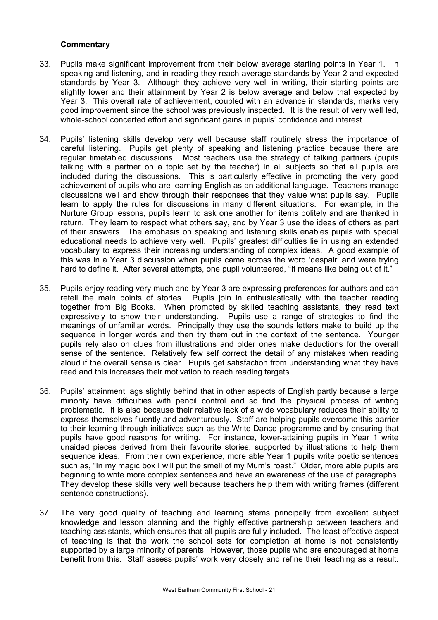- 33. Pupils make significant improvement from their below average starting points in Year 1. In speaking and listening, and in reading they reach average standards by Year 2 and expected standards by Year 3. Although they achieve very well in writing, their starting points are slightly lower and their attainment by Year 2 is below average and below that expected by Year 3. This overall rate of achievement, coupled with an advance in standards, marks very good improvement since the school was previously inspected. It is the result of very well led, whole-school concerted effort and significant gains in pupils' confidence and interest.
- 34. Pupils' listening skills develop very well because staff routinely stress the importance of careful listening. Pupils get plenty of speaking and listening practice because there are regular timetabled discussions. Most teachers use the strategy of talking partners (pupils talking with a partner on a topic set by the teacher) in all subjects so that all pupils are included during the discussions. This is particularly effective in promoting the very good achievement of pupils who are learning English as an additional language. Teachers manage discussions well and show through their responses that they value what pupils say. Pupils learn to apply the rules for discussions in many different situations. For example, in the Nurture Group lessons, pupils learn to ask one another for items politely and are thanked in return. They learn to respect what others say, and by Year 3 use the ideas of others as part of their answers. The emphasis on speaking and listening skills enables pupils with special educational needs to achieve very well. Pupils' greatest difficulties lie in using an extended vocabulary to express their increasing understanding of complex ideas. A good example of this was in a Year 3 discussion when pupils came across the word 'despair' and were trying hard to define it. After several attempts, one pupil volunteered, "It means like being out of it."
- 35. Pupils enjoy reading very much and by Year 3 are expressing preferences for authors and can retell the main points of stories. Pupils join in enthusiastically with the teacher reading together from Big Books. When prompted by skilled teaching assistants, they read text expressively to show their understanding. Pupils use a range of strategies to find the meanings of unfamiliar words. Principally they use the sounds letters make to build up the sequence in longer words and then try them out in the context of the sentence. Younger pupils rely also on clues from illustrations and older ones make deductions for the overall sense of the sentence. Relatively few self correct the detail of any mistakes when reading aloud if the overall sense is clear. Pupils get satisfaction from understanding what they have read and this increases their motivation to reach reading targets.
- 36. Pupils' attainment lags slightly behind that in other aspects of English partly because a large minority have difficulties with pencil control and so find the physical process of writing problematic. It is also because their relative lack of a wide vocabulary reduces their ability to express themselves fluently and adventurously. Staff are helping pupils overcome this barrier to their learning through initiatives such as the Write Dance programme and by ensuring that pupils have good reasons for writing. For instance, lower-attaining pupils in Year 1 write unaided pieces derived from their favourite stories, supported by illustrations to help them sequence ideas. From their own experience, more able Year 1 pupils write poetic sentences such as, "In my magic box I will put the smell of my Mum's roast." Older, more able pupils are beginning to write more complex sentences and have an awareness of the use of paragraphs. They develop these skills very well because teachers help them with writing frames (different sentence constructions).
- 37. The very good quality of teaching and learning stems principally from excellent subject knowledge and lesson planning and the highly effective partnership between teachers and teaching assistants, which ensures that all pupils are fully included. The least effective aspect of teaching is that the work the school sets for completion at home is not consistently supported by a large minority of parents. However, those pupils who are encouraged at home benefit from this. Staff assess pupils' work very closely and refine their teaching as a result.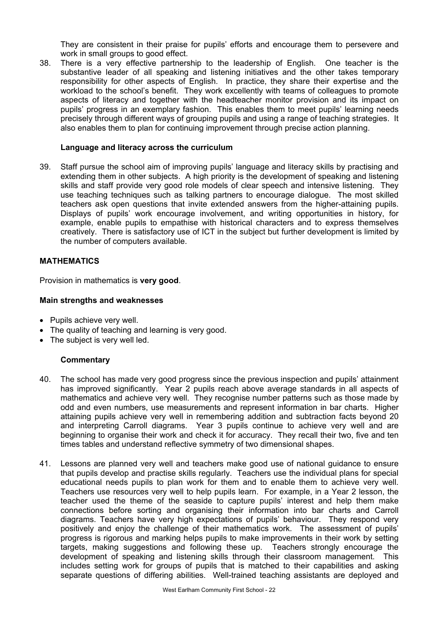They are consistent in their praise for pupils' efforts and encourage them to persevere and work in small groups to good effect.

38. There is a very effective partnership to the leadership of English. One teacher is the substantive leader of all speaking and listening initiatives and the other takes temporary responsibility for other aspects of English. In practice, they share their expertise and the workload to the school's benefit. They work excellently with teams of colleagues to promote aspects of literacy and together with the headteacher monitor provision and its impact on pupils' progress in an exemplary fashion. This enables them to meet pupils' learning needs precisely through different ways of grouping pupils and using a range of teaching strategies. It also enables them to plan for continuing improvement through precise action planning.

#### **Language and literacy across the curriculum**

39. Staff pursue the school aim of improving pupils' language and literacy skills by practising and extending them in other subjects. A high priority is the development of speaking and listening skills and staff provide very good role models of clear speech and intensive listening. They use teaching techniques such as talking partners to encourage dialogue. The most skilled teachers ask open questions that invite extended answers from the higher-attaining pupils. Displays of pupils' work encourage involvement, and writing opportunities in history, for example, enable pupils to empathise with historical characters and to express themselves creatively. There is satisfactory use of ICT in the subject but further development is limited by the number of computers available.

#### **MATHEMATICS**

Provision in mathematics is **very good**.

#### **Main strengths and weaknesses**

- Pupils achieve very well.
- The quality of teaching and learning is very good.
- The subject is very well led.

- 40. The school has made very good progress since the previous inspection and pupils' attainment has improved significantly. Year 2 pupils reach above average standards in all aspects of mathematics and achieve very well. They recognise number patterns such as those made by odd and even numbers, use measurements and represent information in bar charts. Higher attaining pupils achieve very well in remembering addition and subtraction facts beyond 20 and interpreting Carroll diagrams. Year 3 pupils continue to achieve very well and are beginning to organise their work and check it for accuracy. They recall their two, five and ten times tables and understand reflective symmetry of two dimensional shapes.
- 41. Lessons are planned very well and teachers make good use of national guidance to ensure that pupils develop and practise skills regularly. Teachers use the individual plans for special educational needs pupils to plan work for them and to enable them to achieve very well. Teachers use resources very well to help pupils learn. For example, in a Year 2 lesson, the teacher used the theme of the seaside to capture pupils' interest and help them make connections before sorting and organising their information into bar charts and Carroll diagrams. Teachers have very high expectations of pupils' behaviour. They respond very positively and enjoy the challenge of their mathematics work. The assessment of pupils' progress is rigorous and marking helps pupils to make improvements in their work by setting targets, making suggestions and following these up. Teachers strongly encourage the development of speaking and listening skills through their classroom management. This includes setting work for groups of pupils that is matched to their capabilities and asking separate questions of differing abilities. Well-trained teaching assistants are deployed and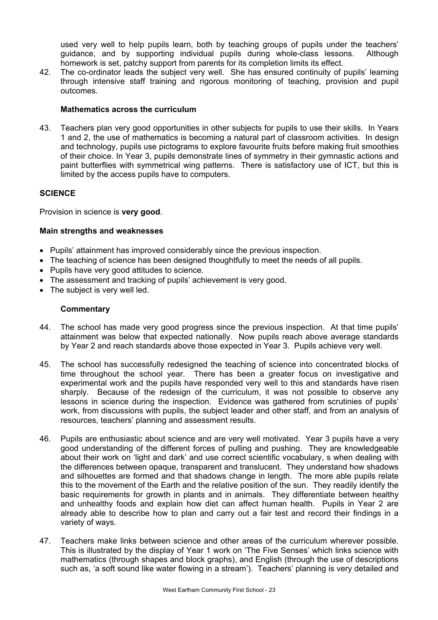used very well to help pupils learn, both by teaching groups of pupils under the teachers' guidance, and by supporting individual pupils during whole-class lessons. Although homework is set, patchy support from parents for its completion limits its effect.

42. The co-ordinator leads the subject very well. She has ensured continuity of pupils' learning through intensive staff training and rigorous monitoring of teaching, provision and pupil outcomes.

#### **Mathematics across the curriculum**

43. Teachers plan very good opportunities in other subjects for pupils to use their skills. In Years 1 and 2, the use of mathematics is becoming a natural part of classroom activities. In design and technology, pupils use pictograms to explore favourite fruits before making fruit smoothies of their choice. In Year 3, pupils demonstrate lines of symmetry in their gymnastic actions and paint butterflies with symmetrical wing patterns. There is satisfactory use of ICT, but this is limited by the access pupils have to computers.

## **SCIENCE**

Provision in science is **very good**.

#### **Main strengths and weaknesses**

- Pupils' attainment has improved considerably since the previous inspection.
- The teaching of science has been designed thoughtfully to meet the needs of all pupils.
- Pupils have very good attitudes to science.
- The assessment and tracking of pupils' achievement is very good.
- The subject is very well led.

- 44. The school has made very good progress since the previous inspection. At that time pupils' attainment was below that expected nationally. Now pupils reach above average standards by Year 2 and reach standards above those expected in Year 3. Pupils achieve very well.
- 45. The school has successfully redesigned the teaching of science into concentrated blocks of time throughout the school year. There has been a greater focus on investigative and experimental work and the pupils have responded very well to this and standards have risen sharply. Because of the redesign of the curriculum, it was not possible to observe any lessons in science during the inspection. Evidence was gathered from scrutinies of pupils' work, from discussions with pupils, the subject leader and other staff, and from an analysis of resources, teachers' planning and assessment results.
- 46. Pupils are enthusiastic about science and are very well motivated. Year 3 pupils have a very good understanding of the different forces of pulling and pushing. They are knowledgeable about their work on 'light and dark' and use correct scientific vocabulary, s when dealing with the differences between opaque, transparent and translucent. They understand how shadows and silhouettes are formed and that shadows change in length. The more able pupils relate this to the movement of the Earth and the relative position of the sun. They readily identify the basic requirements for growth in plants and in animals. They differentiate between healthy and unhealthy foods and explain how diet can affect human health. Pupils in Year 2 are already able to describe how to plan and carry out a fair test and record their findings in a variety of ways.
- 47. Teachers make links between science and other areas of the curriculum wherever possible. This is illustrated by the display of Year 1 work on 'The Five Senses' which links science with mathematics (through shapes and block graphs), and English (through the use of descriptions such as, 'a soft sound like water flowing in a stream'). Teachers' planning is very detailed and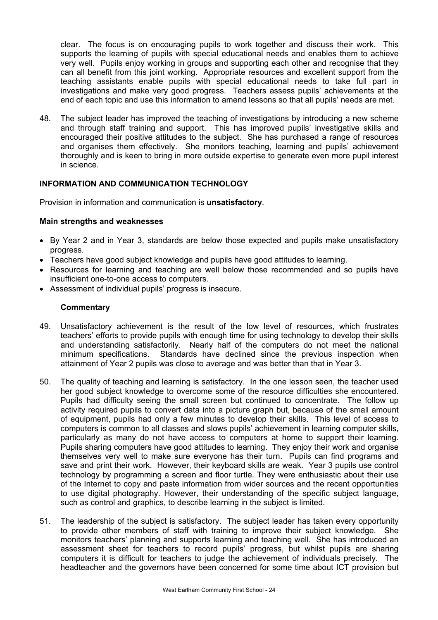clear. The focus is on encouraging pupils to work together and discuss their work. This supports the learning of pupils with special educational needs and enables them to achieve very well. Pupils enjoy working in groups and supporting each other and recognise that they can all benefit from this joint working. Appropriate resources and excellent support from the teaching assistants enable pupils with special educational needs to take full part in investigations and make very good progress. Teachers assess pupils' achievements at the end of each topic and use this information to amend lessons so that all pupils' needs are met.

48. The subject leader has improved the teaching of investigations by introducing a new scheme and through staff training and support. This has improved pupils' investigative skills and encouraged their positive attitudes to the subject. She has purchased a range of resources and organises them effectively. She monitors teaching, learning and pupils' achievement thoroughly and is keen to bring in more outside expertise to generate even more pupil interest in science.

#### **INFORMATION AND COMMUNICATION TECHNOLOGY**

Provision in information and communication is **unsatisfactory**.

#### **Main strengths and weaknesses**

- By Year 2 and in Year 3, standards are below those expected and pupils make unsatisfactory progress.
- Teachers have good subject knowledge and pupils have good attitudes to learning.
- Resources for learning and teaching are well below those recommended and so pupils have insufficient one-to-one access to computers.
- Assessment of individual pupils' progress is insecure.

- 49. Unsatisfactory achievement is the result of the low level of resources, which frustrates teachers' efforts to provide pupils with enough time for using technology to develop their skills and understanding satisfactorily. Nearly half of the computers do not meet the national minimum specifications. Standards have declined since the previous inspection when attainment of Year 2 pupils was close to average and was better than that in Year 3.
- 50. The quality of teaching and learning is satisfactory. In the one lesson seen, the teacher used her good subject knowledge to overcome some of the resource difficulties she encountered. Pupils had difficulty seeing the small screen but continued to concentrate. The follow up activity required pupils to convert data into a picture graph but, because of the small amount of equipment, pupils had only a few minutes to develop their skills. This level of access to computers is common to all classes and slows pupils' achievement in learning computer skills, particularly as many do not have access to computers at home to support their learning. Pupils sharing computers have good attitudes to learning. They enjoy their work and organise themselves very well to make sure everyone has their turn. Pupils can find programs and save and print their work. However, their keyboard skills are weak. Year 3 pupils use control technology by programming a screen and floor turtle. They were enthusiastic about their use of the Internet to copy and paste information from wider sources and the recent opportunities to use digital photography. However, their understanding of the specific subject language, such as control and graphics, to describe learning in the subject is limited.
- 51. The leadership of the subject is satisfactory. The subject leader has taken every opportunity to provide other members of staff with training to improve their subject knowledge. She monitors teachers' planning and supports learning and teaching well. She has introduced an assessment sheet for teachers to record pupils' progress, but whilst pupils are sharing computers it is difficult for teachers to judge the achievement of individuals precisely. The headteacher and the governors have been concerned for some time about ICT provision but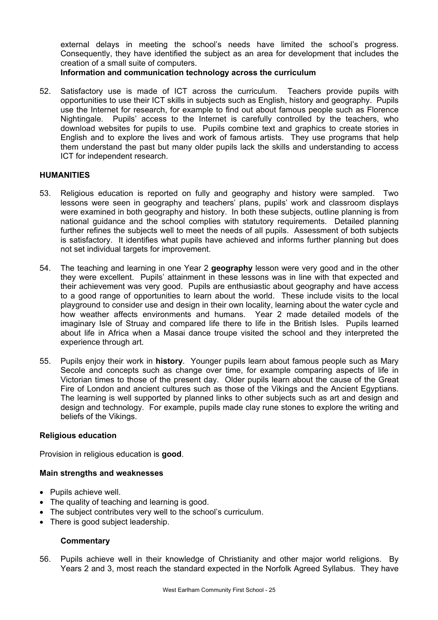external delays in meeting the school's needs have limited the school's progress. Consequently, they have identified the subject as an area for development that includes the creation of a small suite of computers.

**Information and communication technology across the curriculum** 

52. Satisfactory use is made of ICT across the curriculum. Teachers provide pupils with opportunities to use their ICT skills in subjects such as English, history and geography. Pupils use the Internet for research, for example to find out about famous people such as Florence Nightingale. Pupils' access to the Internet is carefully controlled by the teachers, who download websites for pupils to use. Pupils combine text and graphics to create stories in English and to explore the lives and work of famous artists. They use programs that help them understand the past but many older pupils lack the skills and understanding to access ICT for independent research.

#### **HUMANITIES**

- 53. Religious education is reported on fully and geography and history were sampled. Two lessons were seen in geography and teachers' plans, pupils' work and classroom displays were examined in both geography and history. In both these subjects, outline planning is from national guidance and the school complies with statutory requirements. Detailed planning further refines the subjects well to meet the needs of all pupils. Assessment of both subjects is satisfactory. It identifies what pupils have achieved and informs further planning but does not set individual targets for improvement.
- 54. The teaching and learning in one Year 2 **geography** lesson were very good and in the other they were excellent. Pupils' attainment in these lessons was in line with that expected and their achievement was very good. Pupils are enthusiastic about geography and have access to a good range of opportunities to learn about the world. These include visits to the local playground to consider use and design in their own locality, learning about the water cycle and how weather affects environments and humans. Year 2 made detailed models of the imaginary Isle of Struay and compared life there to life in the British Isles. Pupils learned about life in Africa when a Masai dance troupe visited the school and they interpreted the experience through art.
- 55. Pupils enjoy their work in **history**. Younger pupils learn about famous people such as Mary Secole and concepts such as change over time, for example comparing aspects of life in Victorian times to those of the present day. Older pupils learn about the cause of the Great Fire of London and ancient cultures such as those of the Vikings and the Ancient Egyptians. The learning is well supported by planned links to other subjects such as art and design and design and technology. For example, pupils made clay rune stones to explore the writing and beliefs of the Vikings.

#### **Religious education**

Provision in religious education is **good**.

#### **Main strengths and weaknesses**

- Pupils achieve well.
- The quality of teaching and learning is good.
- The subject contributes very well to the school's curriculum.
- There is good subject leadership.

#### **Commentary**

56. Pupils achieve well in their knowledge of Christianity and other major world religions. By Years 2 and 3, most reach the standard expected in the Norfolk Agreed Syllabus. They have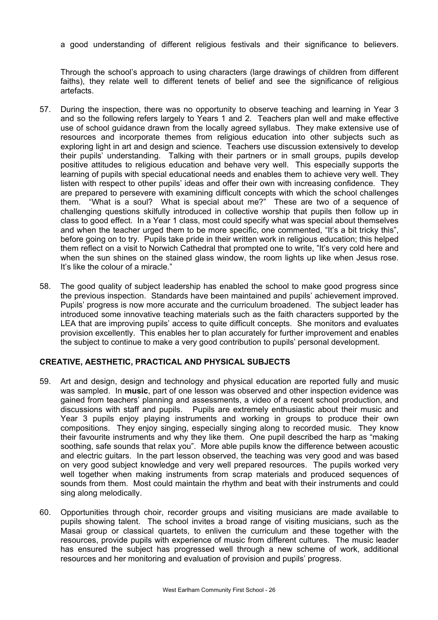a good understanding of different religious festivals and their significance to believers.

Through the school's approach to using characters (large drawings of children from different faiths), they relate well to different tenets of belief and see the significance of religious artefacts.

- 57. During the inspection, there was no opportunity to observe teaching and learning in Year 3 and so the following refers largely to Years 1 and 2. Teachers plan well and make effective use of school guidance drawn from the locally agreed syllabus. They make extensive use of resources and incorporate themes from religious education into other subjects such as exploring light in art and design and science. Teachers use discussion extensively to develop their pupils' understanding. Talking with their partners or in small groups, pupils develop positive attitudes to religious education and behave very well. This especially supports the learning of pupils with special educational needs and enables them to achieve very well. They listen with respect to other pupils' ideas and offer their own with increasing confidence. They are prepared to persevere with examining difficult concepts with which the school challenges them. "What is a soul? What is special about me?" These are two of a sequence of challenging questions skilfully introduced in collective worship that pupils then follow up in class to good effect. In a Year 1 class, most could specify what was special about themselves and when the teacher urged them to be more specific, one commented, "It's a bit tricky this", before going on to try. Pupils take pride in their written work in religious education; this helped them reflect on a visit to Norwich Cathedral that prompted one to write, "It's very cold here and when the sun shines on the stained glass window, the room lights up like when Jesus rose. It's like the colour of a miracle."
- 58. The good quality of subject leadership has enabled the school to make good progress since the previous inspection. Standards have been maintained and pupils' achievement improved. Pupils' progress is now more accurate and the curriculum broadened. The subject leader has introduced some innovative teaching materials such as the faith characters supported by the LEA that are improving pupils' access to quite difficult concepts. She monitors and evaluates provision excellently. This enables her to plan accurately for further improvement and enables the subject to continue to make a very good contribution to pupils' personal development.

#### **CREATIVE, AESTHETIC, PRACTICAL AND PHYSICAL SUBJECTS**

- 59. Art and design, design and technology and physical education are reported fully and music was sampled. In **music**, part of one lesson was observed and other inspection evidence was gained from teachers' planning and assessments, a video of a recent school production, and discussions with staff and pupils. Pupils are extremely enthusiastic about their music and Year 3 pupils enjoy playing instruments and working in groups to produce their own compositions. They enjoy singing, especially singing along to recorded music. They know their favourite instruments and why they like them. One pupil described the harp as "making soothing, safe sounds that relax you". More able pupils know the difference between acoustic and electric guitars. In the part lesson observed, the teaching was very good and was based on very good subject knowledge and very well prepared resources. The pupils worked very well together when making instruments from scrap materials and produced sequences of sounds from them. Most could maintain the rhythm and beat with their instruments and could sing along melodically.
- 60. Opportunities through choir, recorder groups and visiting musicians are made available to pupils showing talent. The school invites a broad range of visiting musicians, such as the Masai group or classical quartets, to enliven the curriculum and these together with the resources, provide pupils with experience of music from different cultures. The music leader has ensured the subject has progressed well through a new scheme of work, additional resources and her monitoring and evaluation of provision and pupils' progress.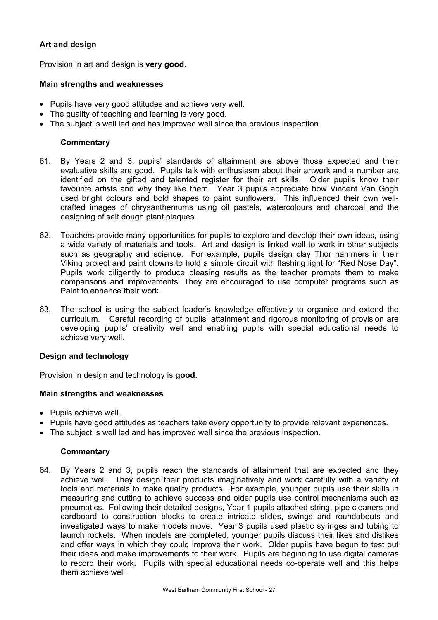## **Art and design**

Provision in art and design is **very good**.

#### **Main strengths and weaknesses**

- Pupils have very good attitudes and achieve very well.
- The quality of teaching and learning is very good.
- The subject is well led and has improved well since the previous inspection.

#### **Commentary**

- 61. By Years 2 and 3, pupils' standards of attainment are above those expected and their evaluative skills are good. Pupils talk with enthusiasm about their artwork and a number are identified on the gifted and talented register for their art skills. Older pupils know their favourite artists and why they like them. Year 3 pupils appreciate how Vincent Van Gogh used bright colours and bold shapes to paint sunflowers. This influenced their own wellcrafted images of chrysanthemums using oil pastels, watercolours and charcoal and the designing of salt dough plant plaques.
- 62. Teachers provide many opportunities for pupils to explore and develop their own ideas, using a wide variety of materials and tools. Art and design is linked well to work in other subjects such as geography and science. For example, pupils design clay Thor hammers in their Viking project and paint clowns to hold a simple circuit with flashing light for "Red Nose Day". Pupils work diligently to produce pleasing results as the teacher prompts them to make comparisons and improvements. They are encouraged to use computer programs such as Paint to enhance their work.
- 63. The school is using the subject leader's knowledge effectively to organise and extend the curriculum. Careful recording of pupils' attainment and rigorous monitoring of provision are developing pupils' creativity well and enabling pupils with special educational needs to achieve very well.

#### **Design and technology**

Provision in design and technology is **good**.

#### **Main strengths and weaknesses**

- Pupils achieve well.
- Pupils have good attitudes as teachers take every opportunity to provide relevant experiences.
- The subject is well led and has improved well since the previous inspection.

#### **Commentary**

64. By Years 2 and 3, pupils reach the standards of attainment that are expected and they achieve well. They design their products imaginatively and work carefully with a variety of tools and materials to make quality products. For example, younger pupils use their skills in measuring and cutting to achieve success and older pupils use control mechanisms such as pneumatics. Following their detailed designs, Year 1 pupils attached string, pipe cleaners and cardboard to construction blocks to create intricate slides, swings and roundabouts and investigated ways to make models move. Year 3 pupils used plastic syringes and tubing to launch rockets. When models are completed, younger pupils discuss their likes and dislikes and offer ways in which they could improve their work. Older pupils have begun to test out their ideas and make improvements to their work. Pupils are beginning to use digital cameras to record their work. Pupils with special educational needs co-operate well and this helps them achieve well.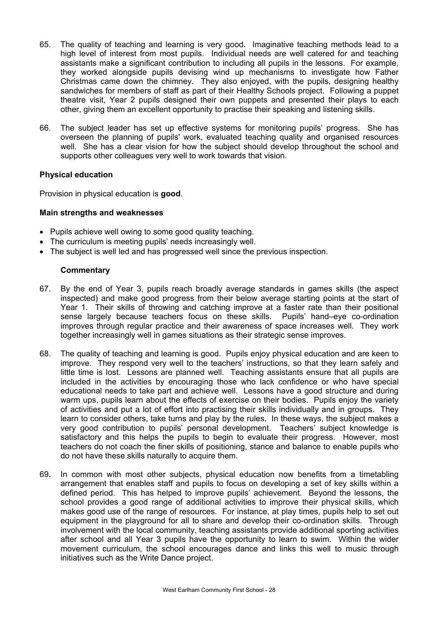- 65. The quality of teaching and learning is very good. Imaginative teaching methods lead to a high level of interest from most pupils. Individual needs are well catered for and teaching assistants make a significant contribution to including all pupils in the lessons. For example, they worked alongside pupils devising wind up mechanisms to investigate how Father Christmas came down the chimney. They also enjoyed, with the pupils, designing healthy sandwiches for members of staff as part of their Healthy Schools project. Following a puppet theatre visit, Year 2 pupils designed their own puppets and presented their plays to each other, giving them an excellent opportunity to practise their speaking and listening skills.
- 66. The subject leader has set up effective systems for monitoring pupils' progress. She has overseen the planning of pupils' work, evaluated teaching quality and organised resources well. She has a clear vision for how the subject should develop throughout the school and supports other colleagues very well to work towards that vision.

#### **Physical education**

Provision in physical education is **good**.

#### **Main strengths and weaknesses**

- Pupils achieve well owing to some good quality teaching.
- The curriculum is meeting pupils' needs increasingly well.
- The subject is well led and has progressed well since the previous inspection.

- 67. By the end of Year 3, pupils reach broadly average standards in games skills (the aspect inspected) and make good progress from their below average starting points at the start of Year 1. Their skills of throwing and catching improve at a faster rate than their positional sense largely because teachers focus on these skills. Pupils' hand–eye co-ordination improves through regular practice and their awareness of space increases well. They work together increasingly well in games situations as their strategic sense improves.
- 68. The quality of teaching and learning is good. Pupils enjoy physical education and are keen to improve. They respond very well to the teachers' instructions, so that they learn safely and little time is lost. Lessons are planned well. Teaching assistants ensure that all pupils are included in the activities by encouraging those who lack confidence or who have special educational needs to take part and achieve well. Lessons have a good structure and during warm ups, pupils learn about the effects of exercise on their bodies. Pupils enjoy the variety of activities and put a lot of effort into practising their skills individually and in groups. They learn to consider others, take turns and play by the rules. In these ways, the subject makes a very good contribution to pupils' personal development. Teachers' subject knowledge is satisfactory and this helps the pupils to begin to evaluate their progress. However, most teachers do not coach the finer skills of positioning, stance and balance to enable pupils who do not have these skills naturally to acquire them.
- 69. In common with most other subjects, physical education now benefits from a timetabling arrangement that enables staff and pupils to focus on developing a set of key skills within a defined period. This has helped to improve pupils' achievement. Beyond the lessons, the school provides a good range of additional activities to improve their physical skills, which makes good use of the range of resources. For instance, at play times, pupils help to set out equipment in the playground for all to share and develop their co-ordination skills. Through involvement with the local community, teaching assistants provide additional sporting activities after school and all Year 3 pupils have the opportunity to learn to swim. Within the wider movement curriculum, the school encourages dance and links this well to music through initiatives such as the Write Dance project.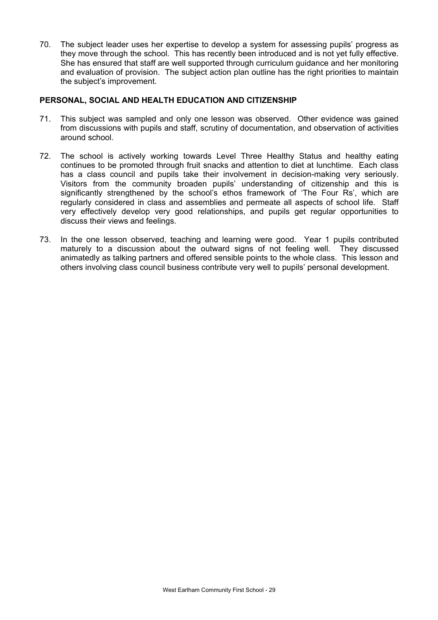70. The subject leader uses her expertise to develop a system for assessing pupils' progress as they move through the school. This has recently been introduced and is not yet fully effective. She has ensured that staff are well supported through curriculum guidance and her monitoring and evaluation of provision. The subject action plan outline has the right priorities to maintain the subject's improvement.

#### **PERSONAL, SOCIAL AND HEALTH EDUCATION AND CITIZENSHIP**

- 71. This subject was sampled and only one lesson was observed. Other evidence was gained from discussions with pupils and staff, scrutiny of documentation, and observation of activities around school.
- 72. The school is actively working towards Level Three Healthy Status and healthy eating continues to be promoted through fruit snacks and attention to diet at lunchtime. Each class has a class council and pupils take their involvement in decision-making very seriously. Visitors from the community broaden pupils' understanding of citizenship and this is significantly strengthened by the school's ethos framework of 'The Four Rs', which are regularly considered in class and assemblies and permeate all aspects of school life. Staff very effectively develop very good relationships, and pupils get regular opportunities to discuss their views and feelings.
- 73. In the one lesson observed, teaching and learning were good. Year 1 pupils contributed maturely to a discussion about the outward signs of not feeling well. They discussed animatedly as talking partners and offered sensible points to the whole class. This lesson and others involving class council business contribute very well to pupils' personal development.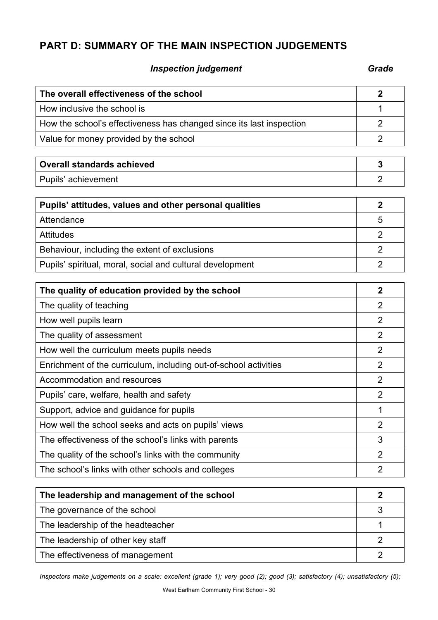# **PART D: SUMMARY OF THE MAIN INSPECTION JUDGEMENTS**

## **Inspection judgement** Grade **Grade**

| The overall effectiveness of the school                              | $\overline{2}$ |
|----------------------------------------------------------------------|----------------|
| How inclusive the school is                                          | 1              |
| How the school's effectiveness has changed since its last inspection | $\overline{2}$ |
| Value for money provided by the school                               | $\overline{2}$ |
|                                                                      |                |
| <b>Overall standards achieved</b>                                    | 3              |
| Pupils' achievement                                                  | $\overline{2}$ |
| Pupils' attitudes, values and other personal qualities               | $\overline{2}$ |
| Attendance                                                           | 5              |
| <b>Attitudes</b>                                                     | $\overline{2}$ |
| Behaviour, including the extent of exclusions                        | $\overline{2}$ |
| Pupils' spiritual, moral, social and cultural development            | $\overline{2}$ |
|                                                                      |                |
| The quality of education provided by the school                      | $\overline{2}$ |
| The quality of teaching                                              | $\overline{2}$ |
| How well pupils learn                                                | $\overline{2}$ |
| The quality of assessment                                            | $\overline{2}$ |
| How well the curriculum meets pupils needs                           | $\overline{2}$ |
| Enrichment of the curriculum, including out-of-school activities     | $\overline{2}$ |
| Accommodation and resources                                          | $\overline{2}$ |
| Pupils' care, welfare, health and safety                             | $\overline{2}$ |
| Support, advice and guidance for pupils                              | 1              |
| How well the school seeks and acts on pupils' views                  | 2              |
| The effectiveness of the school's links with parents                 | 3              |
| The quality of the school's links with the community                 | $\overline{2}$ |
| The school's links with other schools and colleges                   | $\overline{2}$ |
|                                                                      |                |

| The leadership and management of the school |  |
|---------------------------------------------|--|
| The governance of the school                |  |
| The leadership of the headteacher           |  |
| The leadership of other key staff           |  |
| The effectiveness of management             |  |

*Inspectors make judgements on a scale: excellent (grade 1); very good (2); good (3); satisfactory (4); unsatisfactory (5);*